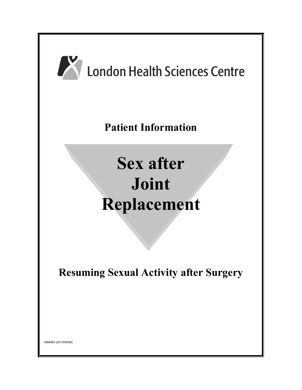

NS6963 (2013/04/08)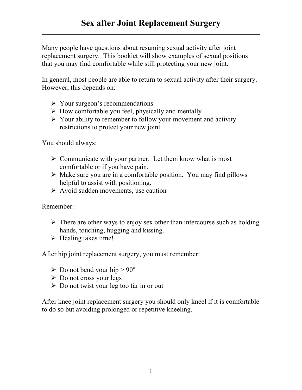Many people have questions about resuming sexual activity after joint replacement surgery. This booklet will show examples of sexual positions that you may find comfortable while still protecting your new joint.

In general, most people are able to return to sexual activity after their surgery. However, this depends on:

- $\triangleright$  Your surgeon's recommendations
- $\triangleright$  How comfortable you feel, physically and mentally
- $\triangleright$  Your ability to remember to follow your movement and activity restrictions to protect your new joint.

You should always:

- $\triangleright$  Communicate with your partner. Let them know what is most comfortable or if you have pain.
- $\triangleright$  Make sure you are in a comfortable position. You may find pillows helpful to assist with positioning.
- $\triangleright$  Avoid sudden movements, use caution

Remember:

- $\triangleright$  There are other ways to enjoy sex other than intercourse such as holding hands, touching, hugging and kissing.
- $\triangleright$  Healing takes time!

After hip joint replacement surgery, you must remember:

- $\triangleright$  Do not bend your hip  $> 90^\circ$
- $\triangleright$  Do not cross your legs
- $\triangleright$  Do not twist your leg too far in or out

After knee joint replacement surgery you should only kneel if it is comfortable to do so but avoiding prolonged or repetitive kneeling.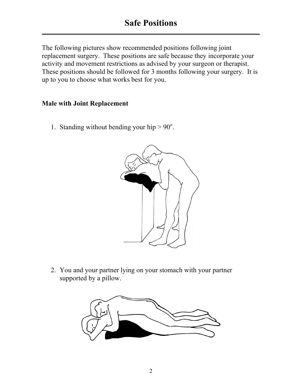The following pictures show recommended positions following joint replacement surgery. These positions are safe because they incorporate your activity and movement restrictions as advised by your surgeon or therapist. These positions should be followed for 3 months following your surgery. It is up to you to choose what works best for you.

## **Male with Joint Replacement**

1. Standing without bending your hip  $> 90^\circ$ .



2. You and your partner lying on your stomach with your partner supported by a pillow.

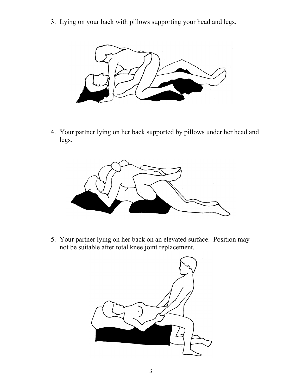3. Lying on your back with pillows supporting your head and legs.



4. Your partner lying on her back supported by pillows under her head and legs.



5. Your partner lying on her back on an elevated surface. Position may not be suitable after total knee joint replacement.

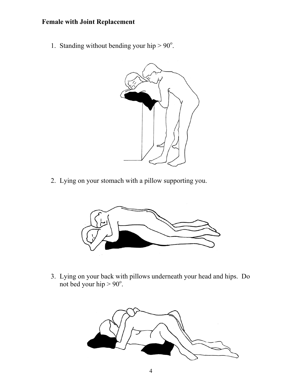## **Female with Joint Replacement**

1. Standing without bending your hip  $> 90^\circ$ .



2. Lying on your stomach with a pillow supporting you.



3. Lying on your back with pillows underneath your head and hips. Do not bed your hip  $> 90^\circ$ .

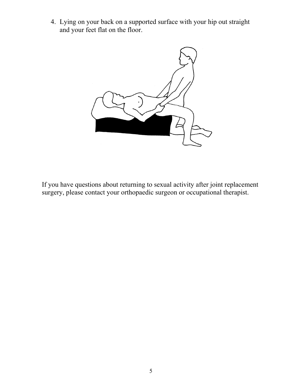4. Lying on your back on a supported surface with your hip out straight and your feet flat on the floor.



If you have questions about returning to sexual activity after joint replacement surgery, please contact your orthopaedic surgeon or occupational therapist.